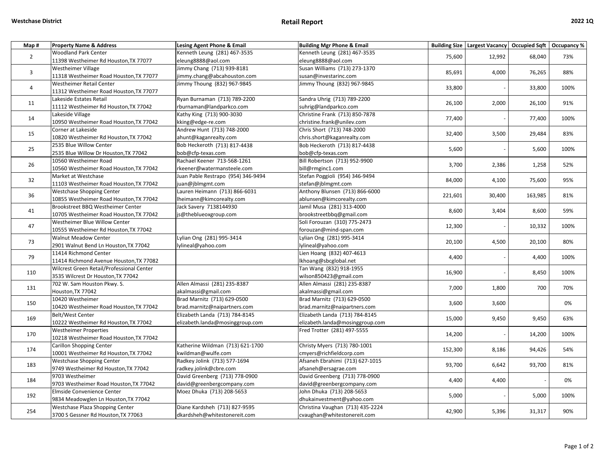| Map #          | <b>Property Name &amp; Address</b>        | Lesing Agent Phone & Email         | <b>Building Mgr Phone &amp; Email</b> |         | Building Size   Largest Vacancy   Occupied Sqft   Occupancy % |         |      |
|----------------|-------------------------------------------|------------------------------------|---------------------------------------|---------|---------------------------------------------------------------|---------|------|
| $\overline{2}$ | <b>Woodland Park Center</b>               | Kenneth Leung (281) 467-3535       | Kenneth Leung (281) 467-3535          | 75,600  | 12,992                                                        | 68,040  | 73%  |
|                | 11398 Westheimer Rd Houston, TX 77077     | eleung8888@aol.com                 | eleung8888@aol.com                    |         |                                                               |         |      |
| $\mathbf{3}$   | <b>Westheimer Village</b>                 | Jimmy Chang (713) 939-8181         | Susan Williams (713) 273-1370         | 85,691  | 4,000                                                         | 76,265  | 88%  |
|                | 11318 Westheimer Road Houston, TX 77077   | jimmy.chang@abcahouston.com        | susan@investarinc.com                 |         |                                                               |         |      |
| $\overline{4}$ | <b>Westheimer Retail Center</b>           | Jimmy Thoung (832) 967-9845        | Jimmy Thoung (832) 967-9845           | 33,800  |                                                               | 33,800  | 100% |
|                | 11312 Westheimer Road Houston, TX 77077   |                                    |                                       |         |                                                               |         |      |
| 11             | Lakeside Estates Retail                   | Ryan Burnaman (713) 789-2200       | Sandra Uhrig (713) 789-2200           |         | 2,000                                                         | 26,100  | 91%  |
|                | 11112 Westheimer Rd Houston, TX 77042     | rburnaman@landparkco.com           | suhrig@landparkco.com                 | 26,100  |                                                               |         |      |
| 14             | Lakeside Village                          | Kathy King (713) 900-3030          | Christine Frank (713) 850-7878        |         |                                                               | 77,400  | 100% |
|                | 10950 Westheimer Road Houston, TX 77042   | kking@edge-re.com                  | christine.frank@unilev.com            | 77,400  |                                                               |         |      |
| 15             | Corner at Lakeside                        | Andrew Hunt (713) 748-2000         | Chris Short (713) 748-2000            | 32,400  | 3,500                                                         | 29,484  | 83%  |
|                | 10820 Westheimer Rd Houston, TX 77042     | ahunt@kaganrealty.com              | chris.short@kaganrealty.com           |         |                                                               |         |      |
|                | 2535 Blue Willow Center                   | Bob Heckeroth (713) 817-4438       | Bob Heckeroth (713) 817-4438          | 5,600   |                                                               | 5,600   | 100% |
| 25             | 2535 Blue Willow Dr Houston, TX 77042     | bob@cfp-texas.com                  | bob@cfp-texas.com                     |         |                                                               |         |      |
| 26             | 10560 Westheimer Road                     | Rachael Keener 713-568-1261        | Bill Robertson (713) 952-9900         |         | 2,386                                                         | 1,258   | 52%  |
|                | 10560 Westheimer Road Houston, TX 77042   | rkeener@watermansteele.com         | bill@rmginc1.com                      | 3,700   |                                                               |         |      |
|                | Market at Westchase                       | Juan Pable Restrapo (954) 346-9494 | Stefan Poggioli (954) 346-9494        |         | 4,100                                                         | 75,600  | 95%  |
| 32             | 11103 Westheimer Road Houston, TX 77042   | juan@jblmgmt.com                   | stefan@jblmgmt.com                    | 84,000  |                                                               |         |      |
| 36             | Westchase Shopping Center                 | Lauren Heimann (713) 866-6031      | Anthony Blunsen (713) 866-6000        |         | 30,400                                                        | 163,985 | 81%  |
|                | 10855 Westheimer Road Houston, TX 77042   | Iheimann@kimcorealty.com           | ablunsen@kimcorealty.com              | 221,601 |                                                               |         |      |
|                | Brookstreet BBQ Westheimer Center         | Jack Savery 7138144930             | Jamil Musa (281) 313-4000             |         | 3,404                                                         | 8,600   | 59%  |
| 41             | 10705 Westheimer Road Houston, TX 77042   | js@theblueoxgroup.com              | brookstreetbbq@gmail.com              | 8,600   |                                                               |         |      |
|                | Westheimer Blue Willow Center             |                                    | Soli Forouzan (310) 775-2473          | 12,300  |                                                               | 10,332  | 100% |
| 47             | 10555 Westheimer Rd Houston, TX 77042     |                                    | forouzan@mind-span.com                |         |                                                               |         |      |
| 73             | <b>Walnut Meadow Center</b>               | Lylian Ong (281) 995-3414          | Lylian Ong (281) 995-3414             |         | 4,500                                                         | 20,100  | 80%  |
|                | 2901 Walnut Bend Ln Houston, TX 77042     | lylineal@yahoo.com                 | lylineal@yahoo.com                    | 20,100  |                                                               |         |      |
|                | 11414 Richmond Center                     |                                    | Lien Hoang (832) 407-4613             |         |                                                               | 4,400   | 100% |
| 79             | 11414 Richmond Avenue Houston, TX 77082   |                                    | lkhoang@sbcglobal.net                 | 4,400   |                                                               |         |      |
|                | Wilcrest Green Retail/Professional Center |                                    | Tan Wang (832) 918-1955               | 16,900  |                                                               | 8,450   | 100% |
| 110            | 3535 Wilcrest Dr Houston, TX 77042        |                                    | wilson850423@gmail.com                |         |                                                               |         |      |
|                | 702 W. Sam Houston Pkwy. S.               | Allen Almassi (281) 235-8387       | Allen Almassi (281) 235-8387          |         | 1,800                                                         | 700     | 70%  |
| 131            | Houston, TX 77042                         | akalmassi@gmail.com                | akalmassi@gmail.com                   | 7,000   |                                                               |         |      |
| 150            | 10420 Westheimer                          | Brad Marnitz (713) 629-0500        | Brad Marnitz (713) 629-0500           |         | 3,600                                                         |         | 0%   |
|                | 10420 Westheimer Road Houston, TX 77042   | brad.marnitz@naipartners.com       | brad.marnitz@naipartners.com          | 3,600   |                                                               |         |      |
| 169            | Belt/West Center                          | Elizabeth Landa (713) 784-8145     | Elizabeth Landa (713) 784-8145        |         |                                                               | 9,450   | 63%  |
|                | 10222 Westheimer Rd Houston, TX 77042     | elizabeth.landa@mosinggroup.com    | elizabeth.landa@mosinggroup.com       | 15,000  | 9,450                                                         |         |      |
| 170            | <b>Westheimer Properties</b>              |                                    | Fred Trotter (281) 497-5555           |         |                                                               | 14,200  | 100% |
|                | 10218 Westheimer Road Houston, TX 77042   |                                    |                                       | 14,200  |                                                               |         |      |
| 174            | <b>Carillon Shopping Center</b>           | Katherine Wildman (713) 621-1700   | Christy Myers (713) 780-1001          | 152,300 |                                                               | 94,426  | 54%  |
|                | 10001 Westheimer Rd Houston, TX 77042     | kwildman@wulfe.com                 | cmyers@richfieldcorp.com              |         | 8,186                                                         |         |      |
| 183            | <b>Westchase Shopping Center</b>          | Radkey Jolink (713) 577-1694       | Afsaneh Ebrahimi (713) 627-1015       | 93,700  | 6,642                                                         | 93,700  | 81%  |
|                | 9749 Westheimer Rd Houston, TX 77042      | radkey.jolink@cbre.com             | afsaneh@ersagrae.com                  |         |                                                               |         |      |
| 184            | 9703 Westheimer                           | David Greenberg (713) 778-0900     | David Greenberg (713) 778-0900        | 4,400   | 4,400                                                         |         | 0%   |
|                | 9703 Westheimer Road Houston, TX 77042    | david@greenbergcompany.com         | david@greenbergcompany.com            |         |                                                               |         |      |
| 192            | Elmside Convenience Center                | Moez Dhuka (713) 208-5653          | John Dhuka (713) 208-5653             |         |                                                               | 5,000   | 100% |
|                | 9834 Meadowglen Ln Houston, TX 77042      |                                    | dhukainvestment@yahoo.com             | 5,000   |                                                               |         |      |
|                | Westchase Plaza Shopping Center           | Diane Kardsheh (713) 827-9595      | Christina Vaughan (713) 435-2224      |         | 5,396                                                         | 31,317  | 90%  |
| 254            | 3700 S Gessner Rd Houston, TX 77063       | dkardsheh@whitestonereit.com       | cvaughan@whitestonereit.com           | 42,900  |                                                               |         |      |